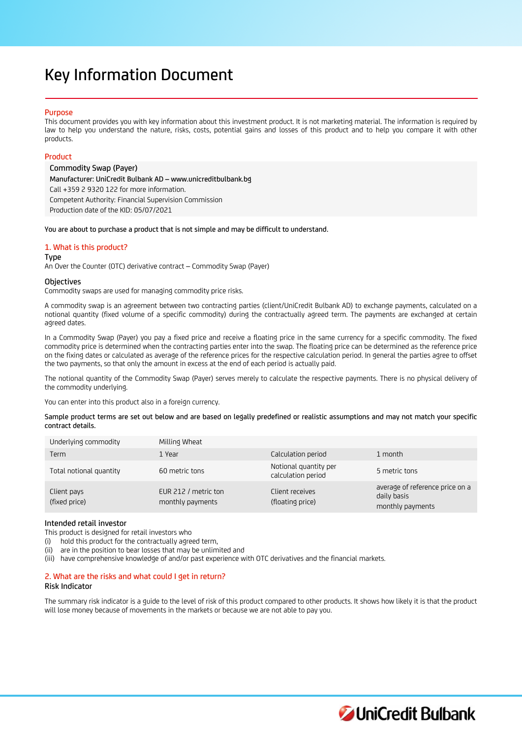# Key Information Document

## Purpose

This document provides you with key information about this investment product. It is not marketing material. The information is required by law to help you understand the nature, risks, costs, potential gains and losses of this product and to help you compare it with other products.

# Product

Commodity Swap (Payer) Manufacturer: UniCredit Bulbank AD – www.unicreditbulbank.bg Call +359 2 9320 122 for more information. Competent Authority: Financial Supervision Commission Production date of the KID: 05/07/2021

You are about to purchase a product that is not simple and may be difficult to understand.

# 1. What is this product?

#### Type

An Over the Counter (OTC) derivative contract – Commodity Swap (Payer)

## **Objectives**

Commodity swaps are used for managing commodity price risks.

A commodity swap is an agreement between two contracting parties (client/UniCredit Bulbank AD) to exchange payments, calculated on a notional quantity (fixed volume of a specific commodity) during the contractually agreed term. The payments are exchanged at certain agreed dates.

In a Commodity Swap (Payer) you pay a fixed price and receive a floating price in the same currency for a specific commodity. The fixed commodity price is determined when the contracting parties enter into the swap. The floating price can be determined as the reference price on the fixing dates or calculated as average of the reference prices for the respective calculation period. In general the parties agree to offset the two payments, so that only the amount in excess at the end of each period is actually paid.

The notional quantity of the Commodity Swap (Payer) serves merely to calculate the respective payments. There is no physical delivery of the commodity underlying.

You can enter into this product also in a foreign currency.

Sample product terms are set out below and are based on legally predefined or realistic assumptions and may not match your specific contract details.

| Underlying commodity         | Milling Wheat                            |                                             |                                                                    |
|------------------------------|------------------------------------------|---------------------------------------------|--------------------------------------------------------------------|
| Term                         | 1 Year                                   | Calculation period                          | 1 month                                                            |
| Total notional quantity      | 60 metric tons                           | Notional quantity per<br>calculation period | 5 metric tons                                                      |
| Client pays<br>(fixed price) | EUR 212 / metric ton<br>monthly payments | Client receives<br>(floating price)         | average of reference price on a<br>daily basis<br>monthly payments |

# Intended retail investor

This product is designed for retail investors who

(i) hold this product for the contractually agreed term,

(ii) are in the position to bear losses that may be unlimited and

(iii) have comprehensive knowledge of and/or past experience with OTC derivatives and the financial markets.

# 2. What are the risks and what could I get in return?

## Risk Indicator

The summary risk indicator is a guide to the level of risk of this product compared to other products. It shows how likely it is that the product will lose money because of movements in the markets or because we are not able to pay you.

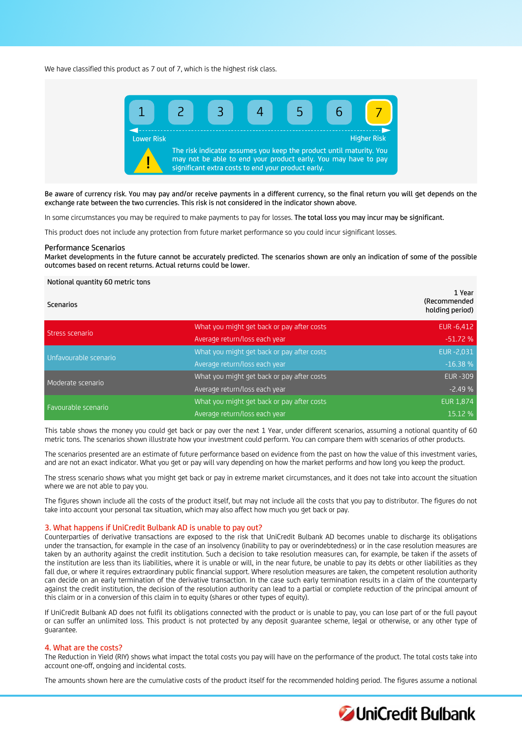We have classified this product as 7 out of 7, which is the highest risk class.



Be aware of currency risk. You may pay and/or receive payments in a different currency, so the final return you will get depends on the exchange rate between the two currencies. This risk is not considered in the indicator shown above.

In some circumstances you may be required to make payments to pay for losses. The total loss you may incur may be significant.

This product does not include any protection from future market performance so you could incur significant losses.

#### Performance Scenarios

Market developments in the future cannot be accurately predicted. The scenarios shown are only an indication of some of the possible outcomes based on recent returns. Actual returns could be lower.

#### Notional quantity 60 metric tons

| <b>Scenarios</b>      |                                            | 1 Year<br>(Recommended<br>holding period) |
|-----------------------|--------------------------------------------|-------------------------------------------|
| Stress scenario       | What you might get back or pay after costs | EUR -6,412                                |
|                       | Average return/loss each year              | $-51.72%$                                 |
| Unfavourable scenario | What you might get back or pay after costs | EUR - 2,031                               |
|                       | Average return/loss each year              | $-16.38%$                                 |
| Moderate scenario     | What you might get back or pay after costs | <b>EUR-309</b>                            |
|                       | Average return/loss each year              | $-2.49%$                                  |
| Favourable scenario   | What you might get back or pay after costs | <b>EUR 1,874</b>                          |
|                       | Average return/loss each year              | 15.12 %                                   |

This table shows the money you could get back or pay over the next 1 Year, under different scenarios, assuming a notional quantity of 60 metric tons. The scenarios shown illustrate how your investment could perform. You can compare them with scenarios of other products.

The scenarios presented are an estimate of future performance based on evidence from the past on how the value of this investment varies, and are not an exact indicator. What you get or pay will vary depending on how the market performs and how long you keep the product.

The stress scenario shows what you might get back or pay in extreme market circumstances, and it does not take into account the situation where we are not able to pay you.

The figures shown include all the costs of the product itself, but may not include all the costs that you pay to distributor. The figures do not take into account your personal tax situation, which may also affect how much you get back or pay.

#### 3. What happens if UniCredit Bulbank AD is unable to pay out?

Counterparties of derivative transactions are exposed to the risk that UniCredit Bulbank AD becomes unable to discharge its obligations under the transaction, for example in the case of an insolvency (inability to pay or overindebtedness) or in the case resolution measures are taken by an authority against the credit institution. Such a decision to take resolution measures can, for example, be taken if the assets of the institution are less than its liabilities, where it is unable or will, in the near future, be unable to pay its debts or other liabilities as they fall due, or where it requires extraordinary public financial support. Where resolution measures are taken, the competent resolution authority can decide on an early termination of the derivative transaction. In the case such early termination results in a claim of the counterparty against the credit institution, the decision of the resolution authority can lead to a partial or complete reduction of the principal amount of this claim or in a conversion of this claim in to equity (shares or other types of equity).

If UniCredit Bulbank AD does not fulfil its obligations connected with the product or is unable to pay, you can lose part of or the full payout or can suffer an unlimited loss. This product is not protected by any deposit guarantee scheme, legal or otherwise, or any other type of guarantee.

# 4. What are the costs?

The Reduction in Yield (RIY) shows what impact the total costs you pay will have on the performance of the product. The total costs take into account one-off, ongoing and incidental costs.

The amounts shown here are the cumulative costs of the product itself for the recommended holding period. The figures assume a notional